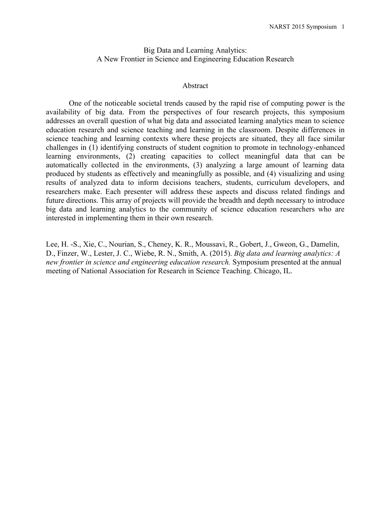## Big Data and Learning Analytics: A New Frontier in Science and Engineering Education Research

### Abstract

One of the noticeable societal trends caused by the rapid rise of computing power is the availability of big data. From the perspectives of four research projects, this symposium addresses an overall question of what big data and associated learning analytics mean to science education research and science teaching and learning in the classroom. Despite differences in science teaching and learning contexts where these projects are situated, they all face similar challenges in (1) identifying constructs of student cognition to promote in technology-enhanced learning environments, (2) creating capacities to collect meaningful data that can be automatically collected in the environments, (3) analyzing a large amount of learning data produced by students as effectively and meaningfully as possible, and (4) visualizing and using results of analyzed data to inform decisions teachers, students, curriculum developers, and researchers make. Each presenter will address these aspects and discuss related findings and future directions. This array of projects will provide the breadth and depth necessary to introduce big data and learning analytics to the community of science education researchers who are interested in implementing them in their own research.

Lee, H. -S., Xie, C., Nourian, S., Cheney, K. R., Moussavi, R., Gobert, J., Gweon, G., Damelin, D., Finzer, W., Lester, J. C., Wiebe, R. N., Smith, A. (2015). *Big data and learning analytics: A new frontier in science and engineering education research.* Symposium presented at the annual meeting of National Association for Research in Science Teaching. Chicago, IL.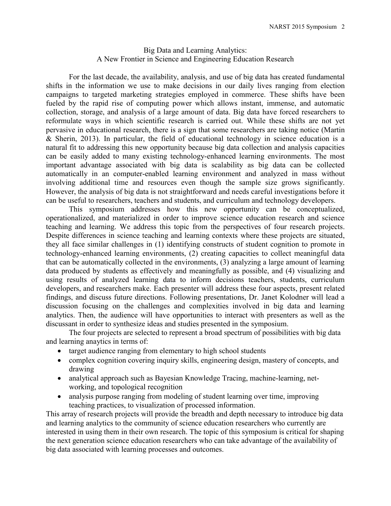# Big Data and Learning Analytics: A New Frontier in Science and Engineering Education Research

For the last decade, the availability, analysis, and use of big data has created fundamental shifts in the information we use to make decisions in our daily lives ranging from election campaigns to targeted marketing strategies employed in commerce. These shifts have been fueled by the rapid rise of computing power which allows instant, immense, and automatic collection, storage, and analysis of a large amount of data. Big data have forced researchers to reformulate ways in which scientific research is carried out. While these shifts are not yet pervasive in educational research, there is a sign that some researchers are taking notice (Martin & Sherin, 2013). In particular, the field of educational technology in science education is a natural fit to addressing this new opportunity because big data collection and analysis capacities can be easily added to many existing technology-enhanced learning environments. The most important advantage associated with big data is scalability as big data can be collected automatically in an computer-enabled learning environment and analyzed in mass without involving additional time and resources even though the sample size grows significantly. However, the analysis of big data is not straightforward and needs careful investigations before it can be useful to researchers, teachers and students, and curriculum and technology developers.

This symposium addresses how this new opportunity can be conceptualized, operationalized, and materialized in order to improve science education research and science teaching and learning. We address this topic from the perspectives of four research projects. Despite differences in science teaching and learning contexts where these projects are situated, they all face similar challenges in (1) identifying constructs of student cognition to promote in technology-enhanced learning environments, (2) creating capacities to collect meaningful data that can be automatically collected in the environments, (3) analyzing a large amount of learning data produced by students as effectively and meaningfully as possible, and (4) visualizing and using results of analyzed learning data to inform decisions teachers, students, curriculum developers, and researchers make. Each presenter will address these four aspects, present related findings, and discuss future directions. Following presentations, Dr. Janet Kolodner will lead a discussion focusing on the challenges and complexities involved in big data and learning analytics. Then, the audience will have opportunities to interact with presenters as well as the discussant in order to synthesize ideas and studies presented in the symposium.

The four projects are selected to represent a broad spectrum of possibilities with big data and learning anaytics in terms of:

- target audience ranging from elementary to high school students
- complex cognition covering inquiry skills, engineering design, mastery of concepts, and drawing
- analytical approach such as Bayesian Knowledge Tracing, machine-learning, networking, and topological recognition
- analysis purpose ranging from modeling of student learning over time, improving teaching practices, to visualization of processed information.

This array of research projects will provide the breadth and depth necessary to introduce big data and learning analytics to the community of science education researchers who currently are interested in using them in their own research. The topic of this symposium is critical for shaping the next generation science education researchers who can take advantage of the availability of big data associated with learning processes and outcomes.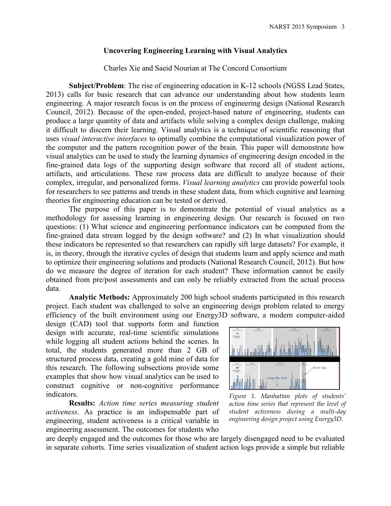### **Uncovering Engineering Learning with Visual Analytics**

Charles Xie and Saeid Nourian at The Concord Consortium

**Subject/Problem**: The rise of engineering education in K-12 schools (NGSS Lead States, 2013) calls for basic research that can advance our understanding about how students learn engineering. A major research focus is on the process of engineering design (National Research Council, 2012). Because of the open-ended, project-based nature of engineering, students can produce a large quantity of data and artifacts while solving a complex design challenge, making it difficult to discern their learning. Visual analytics is a technique of scientific reasoning that uses *visual interactive interfaces* to optimally combine the computational visualization power of the computer and the pattern recognition power of the brain. This paper will demonstrate how visual analytics can be used to study the learning dynamics of engineering design encoded in the fine-grained data logs of the supporting design software that record all of student actions, artifacts, and articulations. These raw process data are difficult to analyze because of their complex, irregular, and personalized forms. *Visual learning analytics* can provide powerful tools for researchers to see patterns and trends in these student data, from which cognitive and learning theories for engineering education can be tested or derived.

The purpose of this paper is to demonstrate the potential of visual analytics as a methodology for assessing learning in engineering design. Our research is focused on two questions: (1) What science and engineering performance indicators can be computed from the fine-grained data stream logged by the design software? and (2) In what visualization should these indicators be represented so that researchers can rapidly sift large datasets? For example, it is, in theory, through the iterative cycles of design that students learn and apply science and math to optimize their engineering solutions and products (National Research Council, 2012). But how do we measure the degree of iteration for each student? These information cannot be easily obtained from pre/post assessments and can only be reliably extracted from the actual process data.

**Analytic Methods:** Approximately 200 high school students participated in this research project. Each student was challenged to solve an engineering design problem related to energy efficiency of the built environment using our Energy3D software, a modern computer-aided

design (CAD) tool that supports form and function design with accurate, real-time scientific simulations while logging all student actions behind the scenes. In total, the students generated more than 2 GB of structured process data, creating a gold mine of data for this research. The following subsections provide some examples that show how visual analytics can be used to construct cognitive or non-cognitive performance indicators.

**Results:** *Action time series measuring student activeness*. As practice is an indispensable part of engineering, student activeness is a critical variable in engineering assessment. The outcomes for students who



*Figure 1. Manhattan plots of students' action time series that represent the level of student activeness during a multi-day engineering design project using Energy3D.*

are deeply engaged and the outcomes for those who are largely disengaged need to be evaluated in separate cohorts. Time series visualization of student action logs provide a simple but reliable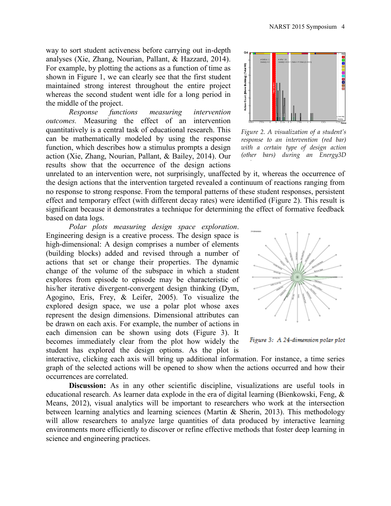way to sort student activeness before carrying out in-depth analyses (Xie, Zhang, Nourian, Pallant, & Hazzard, 2014). For example, by plotting the actions as a function of time as shown in Figure 1, we can clearly see that the first student maintained strong interest throughout the entire project whereas the second student went idle for a long period in the middle of the project.

*Response functions measuring intervention outcomes.* Measuring the effect of an intervention quantitatively is a central task of educational research. This can be mathematically modeled by using the response function, which describes how a stimulus prompts a design action (Xie, Zhang, Nourian, Pallant, & Bailey, 2014). Our results show that the occurrence of the design actions



*Figure 2. A visualization of a student's response to an intervention (red bar) with a certain type of design action (other bars) during an Energy3D* 

unrelated to an intervention were, not surprisingly, unaffected by it, whereas the occurrence of the design actions that the intervention targeted revealed a continuum of reactions ranging from no response to strong response. From the temporal patterns of these student responses, persistent effect and temporary effect (with different decay rates) were identified (Figure 2). This result is significant because it demonstrates a technique for determining the effect of formative feedback based on data logs.

*Polar plots measuring design space exploration*. Engineering design is a creative process. The design space is high-dimensional: A design comprises a number of elements (building blocks) added and revised through a number of actions that set or change their properties. The dynamic change of the volume of the subspace in which a student explores from episode to episode may be characteristic of his/her iterative divergent-convergent design thinking (Dym, Agogino, Eris, Frey, & Leifer, 2005). To visualize the explored design space, we use a polar plot whose axes represent the design dimensions. Dimensional attributes can be drawn on each axis. For example, the number of actions in each dimension can be shown using dots (Figure 3). It becomes immediately clear from the plot how widely the student has explored the design options. As the plot is





interactive, clicking each axis will bring up additional information. For instance, a time series graph of the selected actions will be opened to show when the actions occurred and how their occurrences are correlated.

**Discussion:** As in any other scientific discipline, visualizations are useful tools in educational research. As learner data explode in the era of digital learning (Bienkowski, Feng, & Means, 2012), visual analytics will be important to researchers who work at the intersection between learning analytics and learning sciences (Martin & Sherin, 2013). This methodology will allow researchers to analyze large quantities of data produced by interactive learning environments more efficiently to discover or refine effective methods that foster deep learning in science and engineering practices.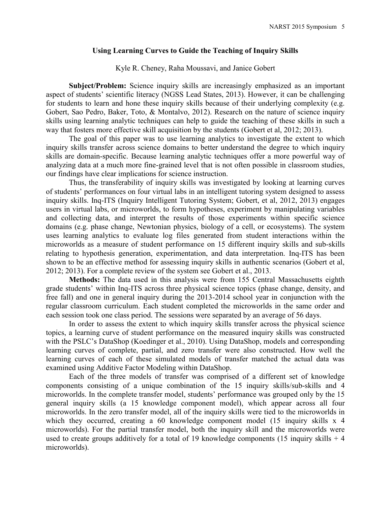### **Using Learning Curves to Guide the Teaching of Inquiry Skills**

## Kyle R. Cheney, Raha Moussavi, and Janice Gobert

**Subject/Problem:** Science inquiry skills are increasingly emphasized as an important aspect of students' scientific literacy (NGSS Lead States, 2013). However, it can be challenging for students to learn and hone these inquiry skills because of their underlying complexity (e.g. Gobert, Sao Pedro, Baker, Toto, & Montalvo, 2012). Research on the nature of science inquiry skills using learning analytic techniques can help to guide the teaching of these skills in such a way that fosters more effective skill acquisition by the students (Gobert et al, 2012; 2013).

The goal of this paper was to use learning analytics to investigate the extent to which inquiry skills transfer across science domains to better understand the degree to which inquiry skills are domain-specific. Because learning analytic techniques offer a more powerful way of analyzing data at a much more fine-grained level that is not often possible in classroom studies, our findings have clear implications for science instruction.

Thus, the transferability of inquiry skills was investigated by looking at learning curves of students' performances on four virtual labs in an intelligent tutoring system designed to assess inquiry skills. Inq-ITS (Inquiry Intelligent Tutoring System; Gobert, et al, 2012, 2013) engages users in virtual labs, or microworlds, to form hypotheses, experiment by manipulating variables and collecting data, and interpret the results of those experiments within specific science domains (e.g. phase change, Newtonian physics, biology of a cell, or ecosystems). The system uses learning analytics to evaluate log files generated from student interactions within the microworlds as a measure of student performance on 15 different inquiry skills and sub-skills relating to hypothesis generation, experimentation, and data interpretation. Inq-ITS has been shown to be an effective method for assessing inquiry skills in authentic scenarios (Gobert et al, 2012; 2013). For a complete review of the system see Gobert et al., 2013.

**Methods:** The data used in this analysis were from 155 Central Massachusetts eighth grade students' within Inq-ITS across three physical science topics (phase change, density, and free fall) and one in general inquiry during the 2013-2014 school year in conjunction with the regular classroom curriculum. Each student completed the microworlds in the same order and each session took one class period. The sessions were separated by an average of 56 days.

In order to assess the extent to which inquiry skills transfer across the physical science topics, a learning curve of student performance on the measured inquiry skills was constructed with the PSLC's DataShop (Koedinger et al., 2010). Using DataShop, models and corresponding learning curves of complete, partial, and zero transfer were also constructed. How well the learning curves of each of these simulated models of transfer matched the actual data was examined using Additive Factor Modeling within DataShop.

Each of the three models of transfer was comprised of a different set of knowledge components consisting of a unique combination of the 15 inquiry skills/sub-skills and 4 microworlds. In the complete transfer model, students' performance was grouped only by the 15 general inquiry skills (a 15 knowledge component model), which appear across all four microworlds. In the zero transfer model, all of the inquiry skills were tied to the microworlds in which they occurred, creating a 60 knowledge component model (15 inquiry skills x 4 microworlds). For the partial transfer model, both the inquiry skill and the microworlds were used to create groups additively for a total of 19 knowledge components (15 inquiry skills  $+4$ ) microworlds).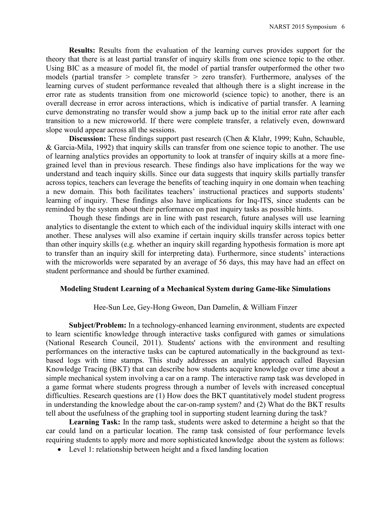**Results:** Results from the evaluation of the learning curves provides support for the theory that there is at least partial transfer of inquiry skills from one science topic to the other. Using BIC as a measure of model fit, the model of partial transfer outperformed the other two models (partial transfer > complete transfer > zero transfer). Furthermore, analyses of the learning curves of student performance revealed that although there is a slight increase in the error rate as students transition from one microworld (science topic) to another, there is an overall decrease in error across interactions, which is indicative of partial transfer. A learning curve demonstrating no transfer would show a jump back up to the initial error rate after each transition to a new microworld. If there were complete transfer, a relatively even, downward slope would appear across all the sessions.

**Discussion:** These findings support past research (Chen & Klahr, 1999; Kuhn, Schauble, & Garcia-Mila, 1992) that inquiry skills can transfer from one science topic to another. The use of learning analytics provides an opportunity to look at transfer of inquiry skills at a more finegrained level than in previous research. These findings also have implications for the way we understand and teach inquiry skills. Since our data suggests that inquiry skills partially transfer across topics, teachers can leverage the benefits of teaching inquiry in one domain when teaching a new domain. This both facilitates teachers' instructional practices and supports students' learning of inquiry. These findings also have implications for Inq-ITS, since students can be reminded by the system about their performance on past inquiry tasks as possible hints.

Though these findings are in line with past research, future analyses will use learning analytics to disentangle the extent to which each of the individual inquiry skills interact with one another. These analyses will also examine if certain inquiry skills transfer across topics better than other inquiry skills (e.g. whether an inquiry skill regarding hypothesis formation is more apt to transfer than an inquiry skill for interpreting data). Furthermore, since students' interactions with the microworlds were separated by an average of 56 days, this may have had an effect on student performance and should be further examined.

## **Modeling Student Learning of a Mechanical System during Game-like Simulations**

Hee-Sun Lee, Gey-Hong Gweon, Dan Damelin, & William Finzer

**Subject/Problem:** In a technology-enhanced learning environment, students are expected to learn scientific knowledge through interactive tasks configured with games or simulations (National Research Council, 2011). Students' actions with the environment and resulting performances on the interactive tasks can be captured automatically in the background as textbased logs with time stamps. This study addresses an analytic approach called Bayesian Knowledge Tracing (BKT) that can describe how students acquire knowledge over time about a simple mechanical system involving a car on a ramp. The interactive ramp task was developed in a game format where students progress through a number of levels with increased conceptual difficulties. Research questions are (1) How does the BKT quantitatively model student progress in understanding the knowledge about the car-on-ramp system? and (2) What do the BKT results tell about the usefulness of the graphing tool in supporting student learning during the task?

**Learning Task:** In the ramp task, students were asked to determine a height so that the car could land on a particular location. The ramp task consisted of four performance levels requiring students to apply more and more sophisticated knowledge about the system as follows:

Level 1: relationship between height and a fixed landing location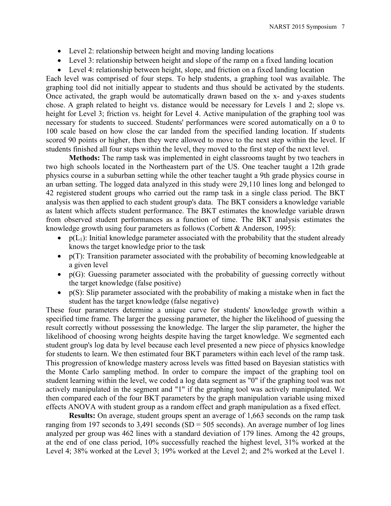- Level 2: relationship between height and moving landing locations
- Level 3: relationship between height and slope of the ramp on a fixed landing location
- Level 4: relationship between height, slope, and friction on a fixed landing location

Each level was comprised of four steps. To help students, a graphing tool was available. The graphing tool did not initially appear to students and thus should be activated by the students. Once activated, the graph would be automatically drawn based on the x- and y-axes students chose. A graph related to height vs. distance would be necessary for Levels 1 and 2; slope vs. height for Level 3; friction vs. height for Level 4. Active manipulation of the graphing tool was necessary for students to succeed. Students' performances were scored automatically on a 0 to 100 scale based on how close the car landed from the specified landing location. If students scored 90 points or higher, then they were allowed to move to the next step within the level. If students finished all four steps within the level, they moved to the first step of the next level.

**Methods:** The ramp task was implemented in eight classrooms taught by two teachers in two high schools located in the Northeastern part of the US. One teacher taught a 12th grade physics course in a suburban setting while the other teacher taught a 9th grade physics course in an urban setting. The logged data analyzed in this study were 29,110 lines long and belonged to 42 registered student groups who carried out the ramp task in a single class period. The BKT analysis was then applied to each student group's data. The BKT considers a knowledge variable as latent which affects student performance. The BKT estimates the knowledge variable drawn from observed student performances as a function of time. The BKT analysis estimates the knowledge growth using four parameters as follows (Corbett & Anderson, 1995):

- $p(L_1)$ : Initial knowledge parameter associated with the probability that the student already knows the target knowledge prior to the task
- $\bullet$  p(T): Transition parameter associated with the probability of becoming knowledgeable at a given level
- $\bullet$   $p(G)$ : Guessing parameter associated with the probability of guessing correctly without the target knowledge (false positive)
- $\bullet$  p(S): Slip parameter associated with the probability of making a mistake when in fact the student has the target knowledge (false negative)

These four parameters determine a unique curve for students' knowledge growth within a specified time frame. The larger the guessing parameter, the higher the likelihood of guessing the result correctly without possessing the knowledge. The larger the slip parameter, the higher the likelihood of choosing wrong heights despite having the target knowledge. We segmented each student group's log data by level because each level presented a new piece of physics knowledge for students to learn. We then estimated four BKT parameters within each level of the ramp task. This progression of knowledge mastery across levels was fitted based on Bayesian statistics with the Monte Carlo sampling method. In order to compare the impact of the graphing tool on student learning within the level, we coded a log data segment as "0" if the graphing tool was not actively manipulated in the segment and "1" if the graphing tool was actively manipulated. We then compared each of the four BKT parameters by the graph manipulation variable using mixed effects ANOVA with student group as a random effect and graph manipulation as a fixed effect.

**Results:** On average, student groups spent an average of 1,663 seconds on the ramp task ranging from 197 seconds to 3,491 seconds (SD =  $505$  seconds). An average number of log lines analyzed per group was 462 lines with a standard deviation of 179 lines. Among the 42 groups, at the end of one class period, 10% successfully reached the highest level, 31% worked at the Level 4; 38% worked at the Level 3; 19% worked at the Level 2; and 2% worked at the Level 1.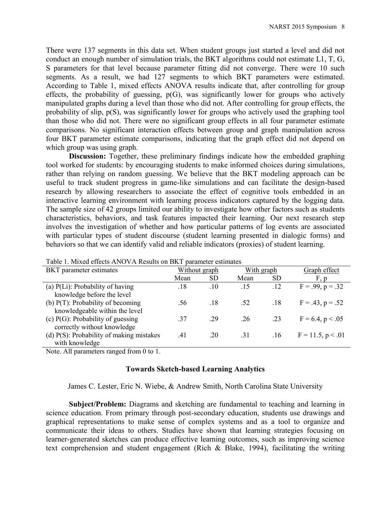There were 137 segments in this data set. When student groups just started a level and did not conduct an enough number of simulation trials, the BKT algorithms could not estimate L1, T, G, S parameters for that level because parameter fitting did not converge. There were 10 such segments. As a result, we had 127 segments to which BKT parameters were estimated. According to Table 1, mixed effects ANOVA results indicate that, after controlling for group effects, the probability of guessing,  $p(G)$ , was significantly lower for groups who actively manipulated graphs during a level than those who did not. After controlling for group effects, the probability of slip, p(S), was significantly lower for groups who actively used the graphing tool than those who did not. There were no significant group effects in all four parameter estimate comparisons. No significant interaction effects between group and graph manipulation across four BKT parameter estimate comparisons, indicating that the graph effect did not depend on which group was using graph.

**Discussion:** Together, these preliminary findings indicate how the embedded graphing tool worked for students: by encouraging students to make informed choices during simulations, rather than relying on random guessing. We believe that the BKT modeling approach can be useful to track student progress in game-like simulations and can facilitate the design-based research by allowing researchers to associate the effect of cognitive tools embedded in an interactive learning environment with learning process indicators captured by the logging data. The sample size of 42 groups limited our ability to investigate how other factors such as students characteristics, behaviors, and task features impacted their learning. Our next research step involves the investigation of whether and how particular patterns of log events are associated with particular types of student discourse (student learning presented in dialogic forms) and behaviors so that we can identify valid and reliable indicators (proxies) of student learning.

| Taon T. MhAcu Checlis Arvo VA Results on DRT Dafameter estimates |               |           |            |           |                      |  |
|------------------------------------------------------------------|---------------|-----------|------------|-----------|----------------------|--|
| <b>BKT</b> parameter estimates                                   | Without graph |           | With graph |           | Graph effect         |  |
|                                                                  | Mean          | <b>SD</b> | Mean       | <b>SD</b> | F, p                 |  |
| (a) $P(Li)$ : Probability of having                              | .18           | .10       | .15        | .12       | $F = .99, p = .32$   |  |
| knowledge before the level                                       |               |           |            |           |                      |  |
| (b) $P(T)$ : Probability of becoming                             | .56           | .18       | .52        | .18       | $F = .43, p = .52$   |  |
| knowledgeable within the level                                   |               |           |            |           |                      |  |
| (c) $P(G)$ : Probability of guessing                             | .37           | .29       | .26        | .23       | $F = 6.4, p < .05$   |  |
| correctly without knowledge                                      |               |           |            |           |                      |  |
| (d) $P(S)$ : Probability of making mistakes                      | .41           | .20       | .31        | .16       | $F = 11.5, p < 0.01$ |  |
| with knowledge                                                   |               |           |            |           |                      |  |

Table 1. Mixed effects ANOVA Results on BKT parameter estimates

Note. All parameters ranged from 0 to 1.

## **Towards Sketch-based Learning Analytics**

## James C. Lester, Eric N. Wiebe, & Andrew Smith, North Carolina State University

**Subject/Problem:** Diagrams and sketching are fundamental to teaching and learning in science education. From primary through post-secondary education, students use drawings and graphical representations to make sense of complex systems and as a tool to organize and communicate their ideas to others. Studies have shown that learning strategies focusing on learner-generated sketches can produce effective learning outcomes, such as improving science text comprehension and student engagement (Rich  $\&$  Blake, 1994), facilitating the writing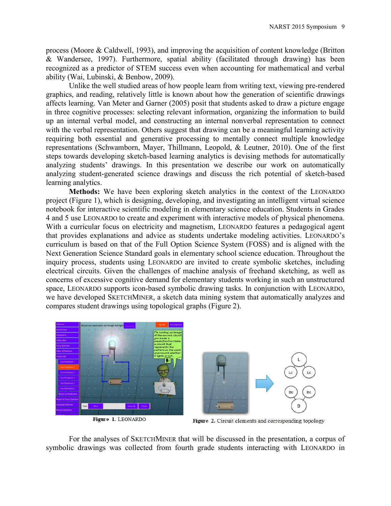process (Moore & Caldwell, 1993), and improving the acquisition of content knowledge (Britton & Wandersee, 1997). Furthermore, spatial ability (facilitated through drawing) has been recognized as a predictor of STEM success even when accounting for mathematical and verbal ability (Wai, Lubinski, & Benbow, 2009).

Unlike the well studied areas of how people learn from writing text, viewing pre-rendered graphics, and reading, relatively little is known about how the generation of scientific drawings affects learning. Van Meter and Garner (2005) posit that students asked to draw a picture engage in three cognitive processes: selecting relevant information, organizing the information to build up an internal verbal model, and constructing an internal nonverbal representation to connect with the verbal representation. Others suggest that drawing can be a meaningful learning activity requiring both essential and generative processing to mentally connect multiple knowledge representations (Schwamborn, Mayer, Thillmann, Leopold, & Leutner, 2010). One of the first steps towards developing sketch-based learning analytics is devising methods for automatically analyzing students' drawings. In this presentation we describe our work on automatically analyzing student-generated science drawings and discuss the rich potential of sketch-based learning analytics.

**Methods:** We have been exploring sketch analytics in the context of the LEONARDO project (Figure 1), which is designing, developing, and investigating an intelligent virtual science notebook for interactive scientific modeling in elementary science education. Students in Grades 4 and 5 use LEONARDO to create and experiment with interactive models of physical phenomena. With a curricular focus on electricity and magnetism, LEONARDO features a pedagogical agent that provides explanations and advice as students undertake modeling activities. LEONARDO's curriculum is based on that of the Full Option Science System (FOSS) and is aligned with the Next Generation Science Standard goals in elementary school science education. Throughout the inquiry process, students using LEONARDO are invited to create symbolic sketches, including electrical circuits. Given the challenges of machine analysis of freehand sketching, as well as concerns of excessive cognitive demand for elementary students working in such an unstructured space, LEONARDO supports icon-based symbolic drawing tasks. In conjunction with LEONARDO, we have developed SKETCHMINER, a sketch data mining system that automatically analyzes and compares student drawings using topological graphs (Figure 2).



Figure 1. LEONARDO



Figure 2. Circuit elements and corresponding topology

For the analyses of SKETCHMINER that will be discussed in the presentation, a corpus of symbolic drawings was collected from fourth grade students interacting with LEONARDO in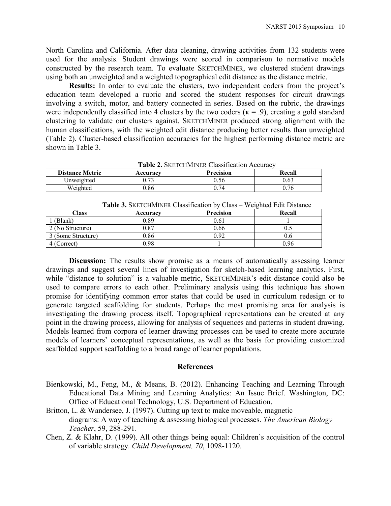North Carolina and California. After data cleaning, drawing activities from 132 students were used for the analysis. Student drawings were scored in comparison to normative models constructed by the research team. To evaluate SKETCHMINER, we clustered student drawings using both an unweighted and a weighted topographical edit distance as the distance metric.

**Results:** In order to evaluate the clusters, two independent coders from the project's education team developed a rubric and scored the student responses for circuit drawings involving a switch, motor, and battery connected in series. Based on the rubric, the drawings were independently classified into 4 clusters by the two coders ( $\kappa = .9$ ), creating a gold standard clustering to validate our clusters against. SKETCHMINER produced strong alignment with the human classifications, with the weighted edit distance producing better results than unweighted (Table 2). Cluster-based classification accuracies for the highest performing distance metric are shown in Table 3.

| <b>Table 2.</b> SKETCHMINER Classification Accuracy |          |                  |        |  |  |  |  |
|-----------------------------------------------------|----------|------------------|--------|--|--|--|--|
| <b>Distance Metric</b>                              | Accuracy | <b>Precision</b> | Recall |  |  |  |  |
| Unweighted                                          | 0.73     | 0.56             | 0.63   |  |  |  |  |
| Weighted                                            | 0.86     | በ 74             | 0.76   |  |  |  |  |

| <b>I apre 5.</b> SKETCHIVILINER CRASSITICATION DY CRASS – W CIRTICO EQUI DIStanCC |          |                  |        |  |  |  |
|-----------------------------------------------------------------------------------|----------|------------------|--------|--|--|--|
| Class                                                                             | Accuracv | <b>Precision</b> | Recall |  |  |  |
| (Blank)                                                                           | 0.89     | 0.61             |        |  |  |  |
| 2 (No Structure)                                                                  | 0.87     | 0.66             |        |  |  |  |
| 3 (Some Structure)                                                                | 0.86     | 1.92             | v.o    |  |  |  |
| 4 (Correct)                                                                       | 0.98     |                  | 0.96   |  |  |  |

**Table 3.** SKETCHMINER Classification by Class – Weighted Edit Distance

**Discussion:** The results show promise as a means of automatically assessing learner drawings and suggest several lines of investigation for sketch-based learning analytics. First, while "distance to solution" is a valuable metric, SKETCHMINER's edit distance could also be used to compare errors to each other. Preliminary analysis using this technique has shown promise for identifying common error states that could be used in curriculum redesign or to generate targeted scaffolding for students. Perhaps the most promising area for analysis is investigating the drawing process itself. Topographical representations can be created at any point in the drawing process, allowing for analysis of sequences and patterns in student drawing. Models learned from corpora of learner drawing processes can be used to create more accurate models of learners' conceptual representations, as well as the basis for providing customized scaffolded support scaffolding to a broad range of learner populations.

### **References**

- Bienkowski, M., Feng, M., & Means, B. (2012). Enhancing Teaching and Learning Through Educational Data Mining and Learning Analytics: An Issue Brief. Washington, DC: Office of Educational Technology, U.S. Department of Education.
- Britton, L. & Wandersee, J. (1997). Cutting up text to make moveable, magnetic diagrams: A way of teaching & assessing biological processes. *The American Biology Teacher*, 59, 288-291.

Chen, Z. & Klahr, D. (1999). All other things being equal: Children's acquisition of the control of variable strategy. *Child Development, 70*, 1098-1120.